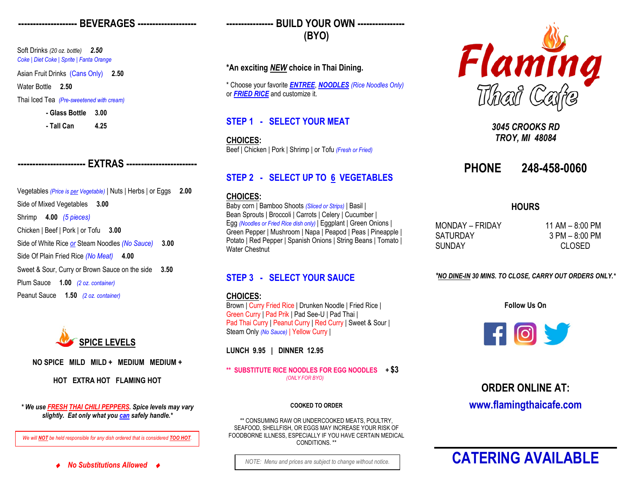### **-------------------- BEVERAGES --------------------**

Soft Drinks *(20 oz. bottle) 2.50 Coke | Diet Coke | Sprite | Fanta Orange*

Asian Fruit Drinks (Cans Only) **2.50**

Water Bottle **2.50**

Thai Iced Tea *(Pre-sweetened with cream)*

#### **- Glass Bottle 3.00**

**- Tall Can 4.25**

# **----------------------- EXTRAS ------------------------**

Vegetables *(Price is per Vegetable)* | Nuts | Herbs | or Eggs **2.00** Side of Mixed Vegetables **3.00** Shrimp **4.00** *(5 pieces)* Chicken | Beef | Pork | or Tofu **3.00** Side of White Rice *or* Steam Noodles *(No Sauce)* **3.00** Side Of Plain Fried Rice *(No Meat)* **4.00** Sweet & Sour, Curry or Brown Sauce on the side **3.50** Plum Sauce **1.00** *(2 oz. container)* Peanut Sauce **1.50** *(2 oz. container)*



**NO SPICE MILD MILD + MEDIUM MEDIUM +**

**HOT EXTRA HOT FLAMING HOT**

*\* We use FRESH THAI CHILI PEPPERS. Spice levels may vary slightly. Eat only what you can safely handle.\**

*We will NOT be held responsible for any dish ordered that is considered TOO HOT.*

♦ *No Substitutions Allowed* ♦

**---------------- BUILD YOUR OWN ---------------- (BYO)**

### **\*An exciting** *NEW* **choice in Thai Dining.**

\* Choose your favorite *ENTREE*, *NOODLES (Rice Noodles Only)* or *FRIED RICE* and customize it.

# **STEP 1 - SELECT YOUR MEAT**

**CHOICES:** Beef | Chicken | Pork | Shrimp | or Tofu *(Fresh or Fried)*

# **STEP 2 - SELECT UP TO 6 VEGETABLES**

### **CHOICES:**

Baby corn | Bamboo Shoots *(Sliced or Strips)* | Basil | Bean Sprouts | Broccoli | Carrots | Celery | Cucumber | Egg *(Noodles or Fried Rice dish only)* | Eggplant | Green Onions | Green Pepper | Mushroom | Napa | Peapod | Peas | Pineapple | Potato | Red Pepper | Spanish Onions | String Beans | Tomato | Water Chestnut

# **STEP 3 - SELECT YOUR SAUCE**

### **CHOICES:**

Brown | Curry Fried Rice | Drunken Noodle | Fried Rice | Green Curry | Pad Prik | Pad See-U | Pad Thai | Pad Thai Curry | Peanut Curry | Red Curry | Sweet & Sour | Steam Only *(No Sauce)* | Yellow Curry |

**LUNCH 9.95 | DINNER 12.95**

**\*\* SUBSTITUTE RICE NOODLES FOR EGG NOODLES + \$3**  *(ONLY FOR BYO)*

### **COOKED TO ORDER**

\*\* CONSUMING RAW OR UNDERCOOKED MEATS, POULTRY, SEAFOOD, SHELLFISH, OR EGGS MAY INCREASE YOUR RISK OF FOODBORNE ILLNESS, ESPECIALLY IF YOU HAVE CERTAIN MEDICAL CONDITIONS. \*\*



*3045 CROOKS RD TROY, MI 48084*

# **PHONE 248-458-0060**

### **HOURS**

 $MONDAY - FRIDAY$  11 AM – 8:00 PM SATURDAY 3 PM – 8:00 PM SUNDAY CLOSED

*\*NO DINE-IN 30 MINS. TO CLOSE, CARRY OUT ORDERS ONLY.\**

**Follow Us On**



**ORDER ONLINE AT: www.flamingthaicafe.com**

# *NOTE: Menu and prices are subject to change without notice.* **CATERING AVAILABLE**